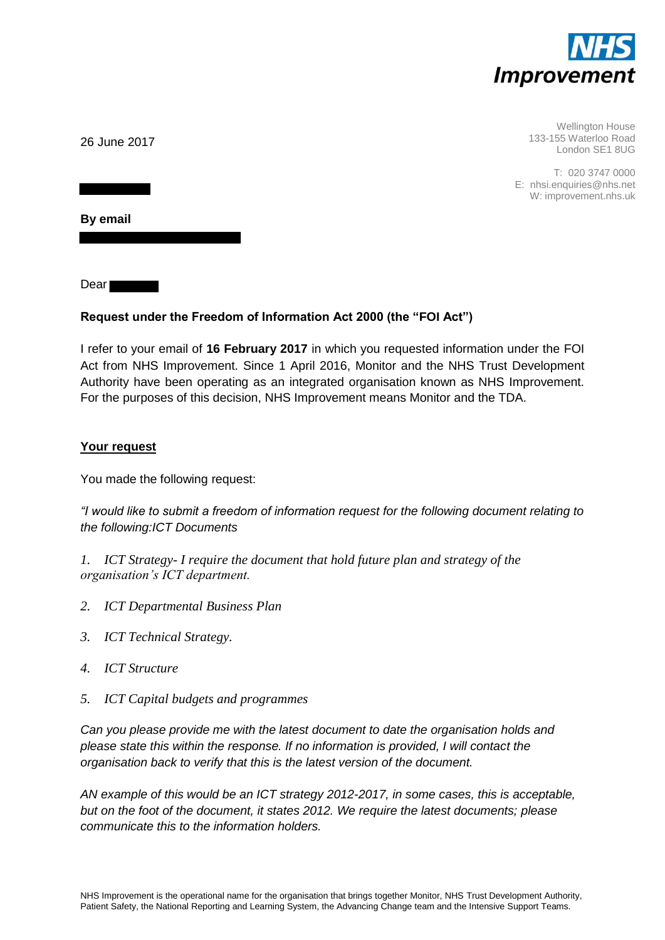

Wellington House 133-155 Waterloo Road London SE1 8UG

T: 020 3747 0000 E: nhsi.enquiries@nhs.net W: improvement.nhs.uk

26 June 2017

**By email** 

Dear

# **Request under the Freedom of Information Act 2000 (the "FOI Act")**

I refer to your email of **16 February 2017** in which you requested information under the FOI Act from NHS Improvement. Since 1 April 2016, Monitor and the NHS Trust Development Authority have been operating as an integrated organisation known as NHS Improvement. For the purposes of this decision, NHS Improvement means Monitor and the TDA.

## **Your request**

You made the following request:

*"I would like to submit a freedom of information request for the following document relating to the following:ICT Documents* 

*1. ICT Strategy- I require the document that hold future plan and strategy of the organisation's ICT department.*

- *2. ICT Departmental Business Plan*
- *3. ICT Technical Strategy.*
- *4. ICT Structure*
- *5. ICT Capital budgets and programmes*

*Can you please provide me with the latest document to date the organisation holds and please state this within the response. If no information is provided, I will contact the organisation back to verify that this is the latest version of the document.* 

*AN example of this would be an ICT strategy 2012-2017, in some cases, this is acceptable, but on the foot of the document, it states 2012. We require the latest documents; please communicate this to the information holders.*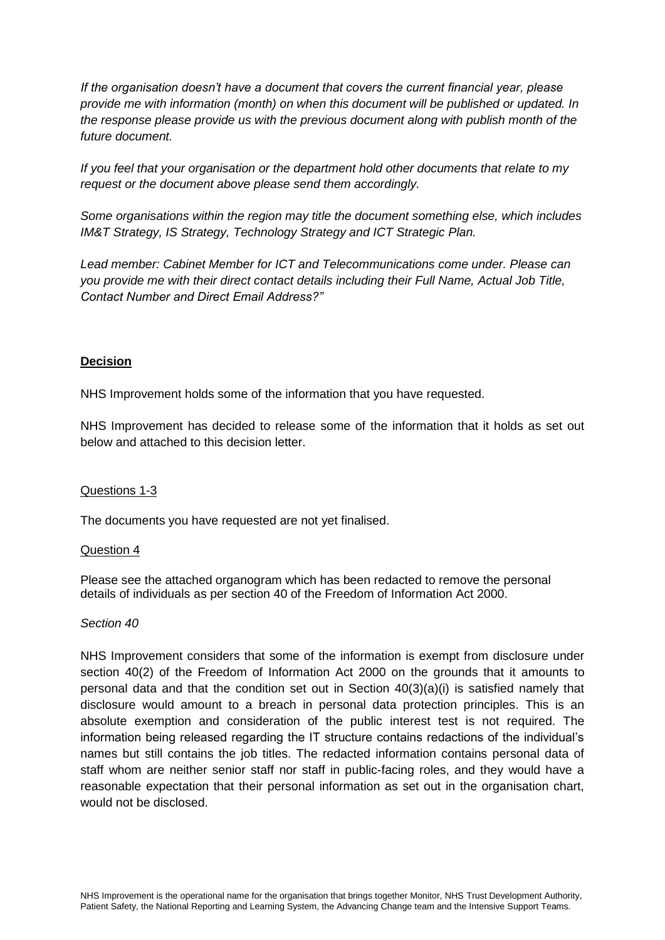*If the organisation doesn't have a document that covers the current financial year, please provide me with information (month) on when this document will be published or updated. In the response please provide us with the previous document along with publish month of the future document.*

*If you feel that your organisation or the department hold other documents that relate to my request or the document above please send them accordingly.*

*Some organisations within the region may title the document something else, which includes IM&T Strategy, IS Strategy, Technology Strategy and ICT Strategic Plan.*

*Lead member: Cabinet Member for ICT and Telecommunications come under. Please can you provide me with their direct contact details including their Full Name, Actual Job Title, Contact Number and Direct Email Address?"*

# **Decision**

NHS Improvement holds some of the information that you have requested.

NHS Improvement has decided to release some of the information that it holds as set out below and attached to this decision letter.

## Questions 1-3

The documents you have requested are not yet finalised.

#### Question 4

Please see the attached organogram which has been redacted to remove the personal details of individuals as per section 40 of the Freedom of Information Act 2000.

## *Section 40*

NHS Improvement considers that some of the information is exempt from disclosure under section 40(2) of the Freedom of Information Act 2000 on the grounds that it amounts to personal data and that the condition set out in Section 40(3)(a)(i) is satisfied namely that disclosure would amount to a breach in personal data protection principles. This is an absolute exemption and consideration of the public interest test is not required. The information being released regarding the IT structure contains redactions of the individual's names but still contains the job titles. The redacted information contains personal data of staff whom are neither senior staff nor staff in public-facing roles, and they would have a reasonable expectation that their personal information as set out in the organisation chart, would not be disclosed.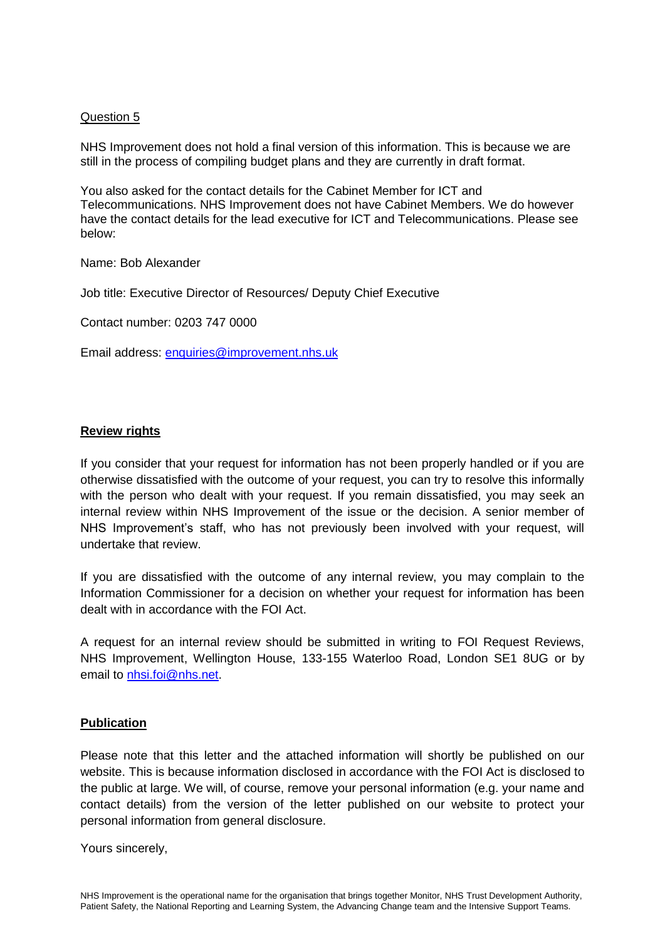### Question 5

NHS Improvement does not hold a final version of this information. This is because we are still in the process of compiling budget plans and they are currently in draft format.

You also asked for the contact details for the Cabinet Member for ICT and Telecommunications. NHS Improvement does not have Cabinet Members. We do however have the contact details for the lead executive for ICT and Telecommunications. Please see below:

Name: Bob Alexander

Job title: Executive Director of Resources/ Deputy Chief Executive

Contact number: 0203 747 0000

Email address: [enquiries@improvement.nhs.uk](mailto:enquiries@improvement.nhs.uk)

### **Review rights**

If you consider that your request for information has not been properly handled or if you are otherwise dissatisfied with the outcome of your request, you can try to resolve this informally with the person who dealt with your request. If you remain dissatisfied, you may seek an internal review within NHS Improvement of the issue or the decision. A senior member of NHS Improvement's staff, who has not previously been involved with your request, will undertake that review.

If you are dissatisfied with the outcome of any internal review, you may complain to the Information Commissioner for a decision on whether your request for information has been dealt with in accordance with the FOI Act.

A request for an internal review should be submitted in writing to FOI Request Reviews, NHS Improvement, Wellington House, 133-155 Waterloo Road, London SE1 8UG or by email to nhsi.foi@nhs.net

#### **Publication**

Please note that this letter and the attached information will shortly be published on our website. This is because information disclosed in accordance with the FOI Act is disclosed to the public at large. We will, of course, remove your personal information (e.g. your name and contact details) from the version of the letter published on our website to protect your personal information from general disclosure.

Yours sincerely,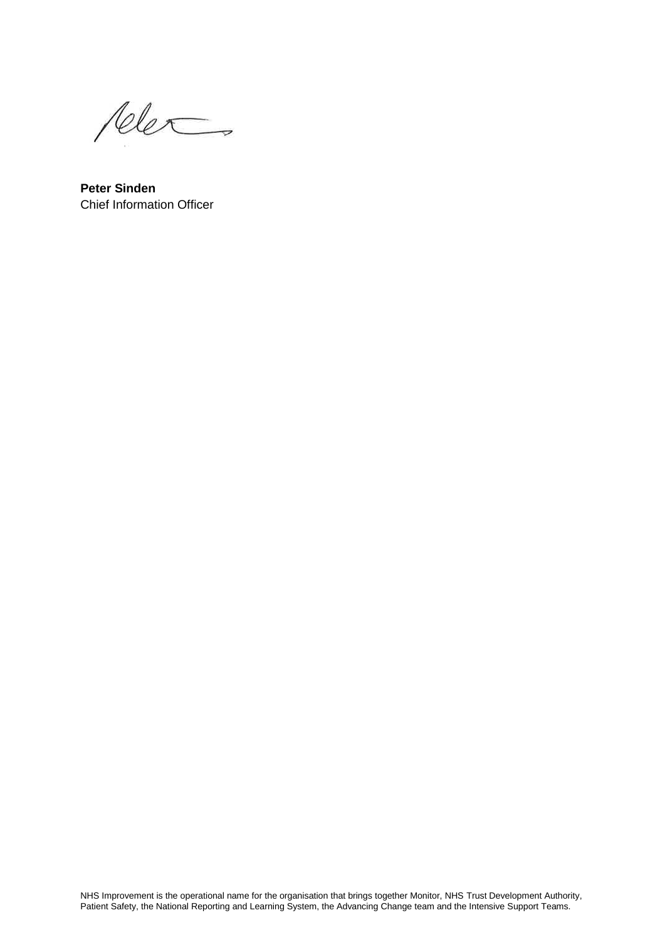Neles

**Peter Sinden**  Chief Information Officer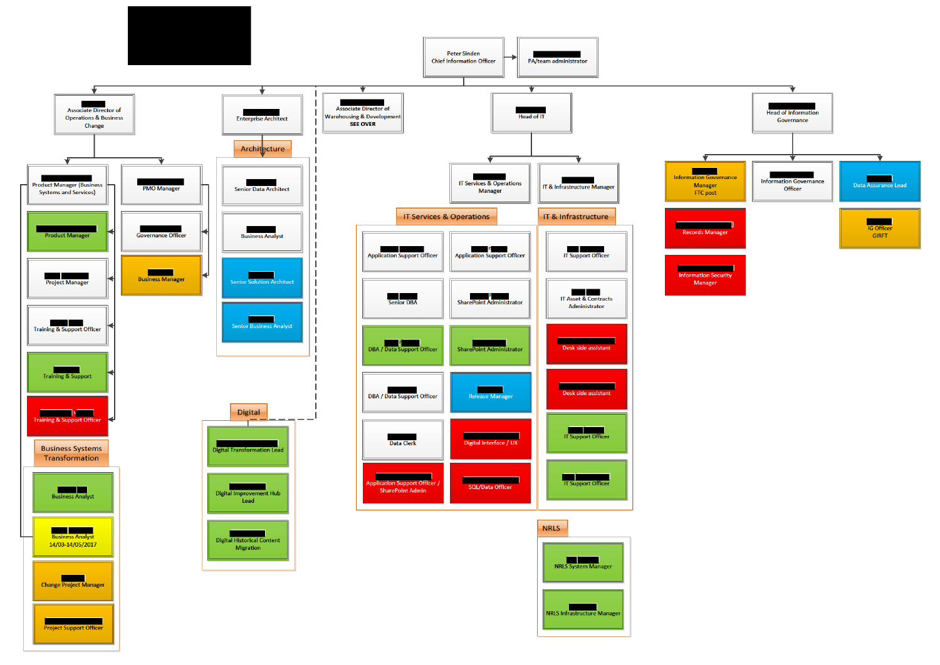